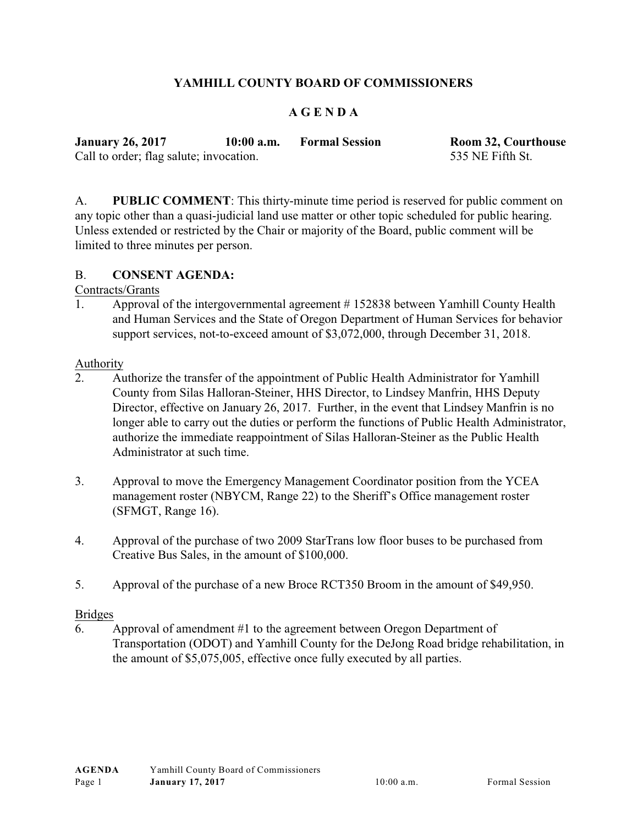# **YAMHILL COUNTY BOARD OF COMMISSIONERS**

## **A G E N D A**

| <b>January 26, 2017</b>                 | $10:00$ a.m. | <b>Formal Session</b> | <b>Room 32, Courthouse</b> |
|-----------------------------------------|--------------|-----------------------|----------------------------|
| Call to order; flag salute; invocation. |              |                       | 535 NE Fifth St.           |

A. **PUBLIC COMMENT**: This thirty-minute time period is reserved for public comment on any topic other than a quasi-judicial land use matter or other topic scheduled for public hearing. Unless extended or restricted by the Chair or majority of the Board, public comment will be limited to three minutes per person.

#### B. **CONSENT AGENDA:**

#### Contracts/Grants

1. Approval of the intergovernmental agreement # 152838 between Yamhill County Health and Human Services and the State of Oregon Department of Human Services for behavior support services, not-to-exceed amount of \$3,072,000, through December 31, 2018.

#### Authority

- 2. Authorize the transfer of the appointment of Public Health Administrator for Yamhill County from Silas Halloran-Steiner, HHS Director, to Lindsey Manfrin, HHS Deputy Director, effective on January 26, 2017. Further, in the event that Lindsey Manfrin is no longer able to carry out the duties or perform the functions of Public Health Administrator, authorize the immediate reappointment of Silas Halloran-Steiner as the Public Health Administrator at such time.
- 3. Approval to move the Emergency Management Coordinator position from the YCEA management roster (NBYCM, Range 22) to the Sheriff's Office management roster (SFMGT, Range 16).
- 4. Approval of the purchase of two 2009 StarTrans low floor buses to be purchased from Creative Bus Sales, in the amount of \$100,000.
- 5. Approval of the purchase of a new Broce RCT350 Broom in the amount of \$49,950.

#### Bridges

6. Approval of amendment #1 to the agreement between Oregon Department of Transportation (ODOT) and Yamhill County for the DeJong Road bridge rehabilitation, in the amount of \$5,075,005, effective once fully executed by all parties.